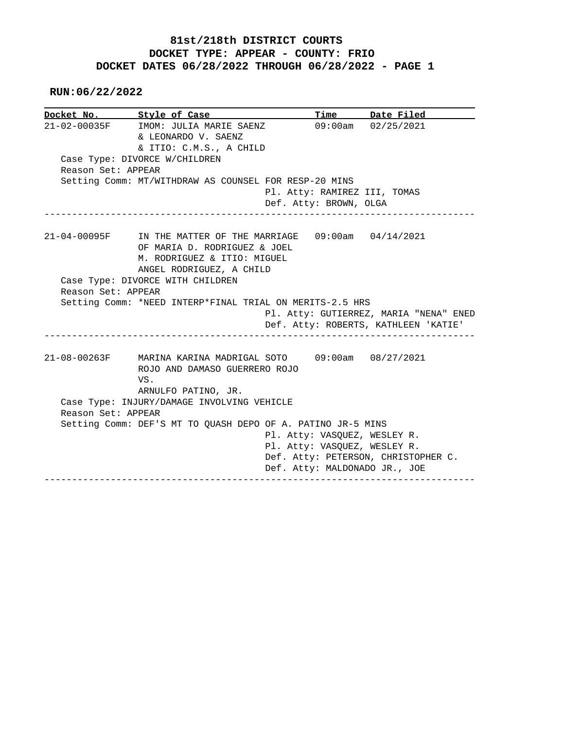## **81st/218th DISTRICT COURTS DOCKET TYPE: APPEAR - COUNTY: FRIO DOCKET DATES 06/28/2022 THROUGH 06/28/2022 - PAGE 1**

 **RUN:06/22/2022**

|                    | Docket No. Style of Case                                    |                               | Time Date Filed                        |
|--------------------|-------------------------------------------------------------|-------------------------------|----------------------------------------|
|                    | 21-02-00035F IMOM: JULIA MARIE SAENZ                        | $09:00$ am $02/25/2021$       |                                        |
|                    | & LEONARDO V. SAENZ                                         |                               |                                        |
|                    | & ITIO: C.M.S., A CHILD                                     |                               |                                        |
|                    | Case Type: DIVORCE W/CHILDREN                               |                               |                                        |
| Reason Set: APPEAR |                                                             |                               |                                        |
|                    | Setting Comm: MT/WITHDRAW AS COUNSEL FOR RESP-20 MINS       |                               |                                        |
|                    |                                                             | Pl. Atty: RAMIREZ III, TOMAS  |                                        |
|                    |                                                             | Def. Atty: BROWN, OLGA        |                                        |
| 21-04-00095F       | IN THE MATTER OF THE MARRIAGE 09:00am 04/14/2021            |                               |                                        |
|                    | OF MARIA D. RODRIGUEZ & JOEL                                |                               |                                        |
|                    | M. RODRIGUEZ & ITIO: MIGUEL                                 |                               |                                        |
|                    | ANGEL RODRIGUEZ, A CHILD                                    |                               |                                        |
|                    | Case Type: DIVORCE WITH CHILDREN                            |                               |                                        |
| Reason Set: APPEAR |                                                             |                               |                                        |
|                    |                                                             |                               |                                        |
|                    |                                                             |                               |                                        |
|                    | Setting Comm: *NEED INTERP*FINAL TRIAL ON MERITS-2.5 HRS    |                               |                                        |
|                    |                                                             |                               | Pl. Atty: GUTIERREZ, MARIA "NENA" ENED |
|                    |                                                             |                               | Def. Atty: ROBERTS, KATHLEEN 'KATIE'   |
|                    | 21-08-00263F MARINA KARINA MADRIGAL SOTO 09:00am 08/27/2021 |                               |                                        |
|                    | ROJO AND DAMASO GUERRERO ROJO                               |                               |                                        |
|                    | VS.                                                         |                               |                                        |
|                    | ARNULFO PATINO, JR.                                         |                               |                                        |
|                    | Case Type: INJURY/DAMAGE INVOLVING VEHICLE                  |                               |                                        |
| Reason Set: APPEAR |                                                             |                               |                                        |
|                    | Setting Comm: DEF'S MT TO QUASH DEPO OF A. PATINO JR-5 MINS |                               |                                        |
|                    |                                                             | Pl. Atty: VASQUEZ, WESLEY R.  |                                        |
|                    |                                                             | Pl. Atty: VASQUEZ, WESLEY R.  |                                        |
|                    |                                                             |                               |                                        |
|                    |                                                             | Def. Atty: MALDONADO JR., JOE | Def. Atty: PETERSON, CHRISTOPHER C.    |